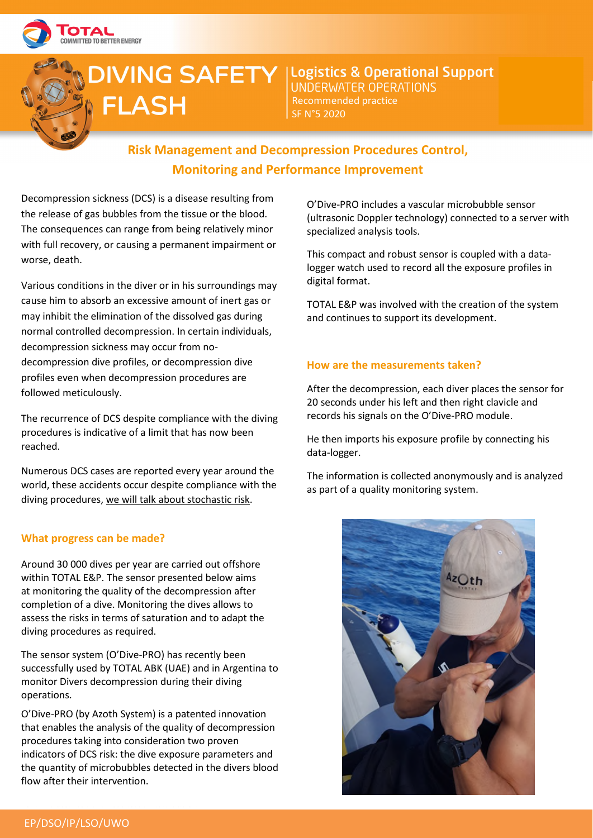

# **FLASH**

 $\sum$ IVING SAFETY |Logistics & Operational Support Recommended practice SF N°5 2020

# **Risk Management and Decompression Procedures Control, Monitoring and Performance Improvement**

Decompression sickness (DCS) is a disease resulting from the release of gas bubbles from the tissue or the blood. The consequences can range from being relatively minor with full recovery, or causing a permanent impairment or worse, death.

Various conditions in the diver or in his surroundings may cause him to absorb an excessive amount of inert gas or may inhibit the elimination of the dissolved gas during normal controlled decompression. In certain individuals, decompression sickness may occur from nodecompression dive profiles, or decompression dive profiles even when decompression procedures are followed meticulously.

The recurrence of DCS despite compliance with the diving procedures is indicative of a limit that has now been reached.

Numerous DCS cases are reported every year around the world, these accidents occur despite compliance with the diving procedures, we will talk about stochastic risk.

## **What progress can be made?**

Around 30 000 dives per year are carried out offshore within TOTAL E&P. The sensor presented below aims at monitoring the quality of the decompression after completion of a dive. Monitoring the dives allows to assess the risks in terms of saturation and to adapt the diving procedures as required.

The sensor system (O'Dive-PRO) has recently been successfully used by TOTAL ABK (UAE) and in Argentina to monitor Divers decompression during their diving operations.

O'Dive-PRO (by Azoth System) is a patented innovation that enables the analysis of the quality of decompression procedures taking into consideration two proven indicators of DCS risk: the dive exposure parameters and the quantity of microbubbles detected in the divers blood flow after their intervention.

O'Dive-PRO includes a vascular microbubble sensor (ultrasonic Doppler technology) connected to a server with specialized analysis tools.

This compact and robust sensor is coupled with a datalogger watch used to record all the exposure profiles in digital format.

TOTAL E&P was involved with the creation of the system and continues to support its development.

#### **How are the measurements taken?**

After the decompression, each diver places the sensor for 20 seconds under his left and then right clavicle and records his signals on the O'Dive-PRO module.

He then imports his exposure profile by connecting his data-logger.

The information is collected anonymously and is analyzed as part of a quality monitoring system.